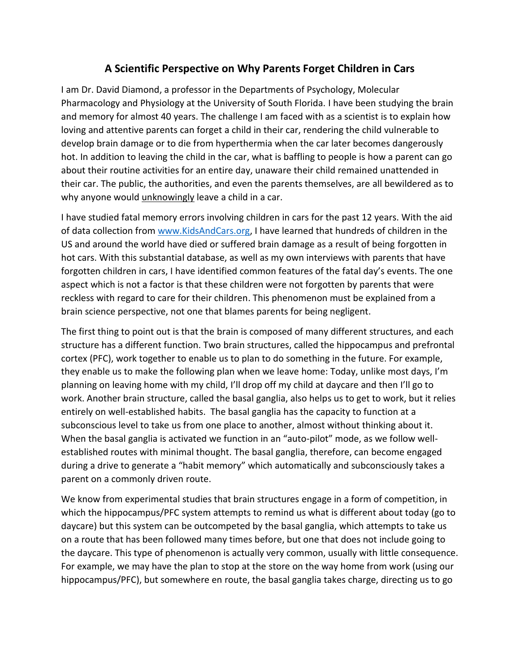## **A Scientific Perspective on Why Parents Forget Children in Cars**

I am Dr. David Diamond, a professor in the Departments of Psychology, Molecular Pharmacology and Physiology at the University of South Florida. I have been studying the brain and memory for almost 40 years. The challenge I am faced with as a scientist is to explain how loving and attentive parents can forget a child in their car, rendering the child vulnerable to develop brain damage or to die from hyperthermia when the car later becomes dangerously hot. In addition to leaving the child in the car, what is baffling to people is how a parent can go about their routine activities for an entire day, unaware their child remained unattended in their car. The public, the authorities, and even the parents themselves, are all bewildered as to why anyone would *unknowingly* leave a child in a car.

I have studied fatal memory errors involving children in cars for the past 12 years. With the aid of data collection from [www.KidsAndCars.org,](http://www.kidsandcars.org/) I have learned that hundreds of children in the US and around the world have died or suffered brain damage as a result of being forgotten in hot cars. With this substantial database, as well as my own interviews with parents that have forgotten children in cars, I have identified common features of the fatal day's events. The one aspect which is not a factor is that these children were not forgotten by parents that were reckless with regard to care for their children. This phenomenon must be explained from a brain science perspective, not one that blames parents for being negligent.

The first thing to point out is that the brain is composed of many different structures, and each structure has a different function. Two brain structures, called the hippocampus and prefrontal cortex (PFC), work together to enable us to plan to do something in the future. For example, they enable us to make the following plan when we leave home: Today, unlike most days, I'm planning on leaving home with my child, I'll drop off my child at daycare and then I'll go to work. Another brain structure, called the basal ganglia, also helps us to get to work, but it relies entirely on well-established habits. The basal ganglia has the capacity to function at a subconscious level to take us from one place to another, almost without thinking about it. When the basal ganglia is activated we function in an "auto-pilot" mode, as we follow wellestablished routes with minimal thought. The basal ganglia, therefore, can become engaged during a drive to generate a "habit memory" which automatically and subconsciously takes a parent on a commonly driven route.

We know from experimental studies that brain structures engage in a form of competition, in which the hippocampus/PFC system attempts to remind us what is different about today (go to daycare) but this system can be outcompeted by the basal ganglia, which attempts to take us on a route that has been followed many times before, but one that does not include going to the daycare. This type of phenomenon is actually very common, usually with little consequence. For example, we may have the plan to stop at the store on the way home from work (using our hippocampus/PFC), but somewhere en route, the basal ganglia takes charge, directing us to go